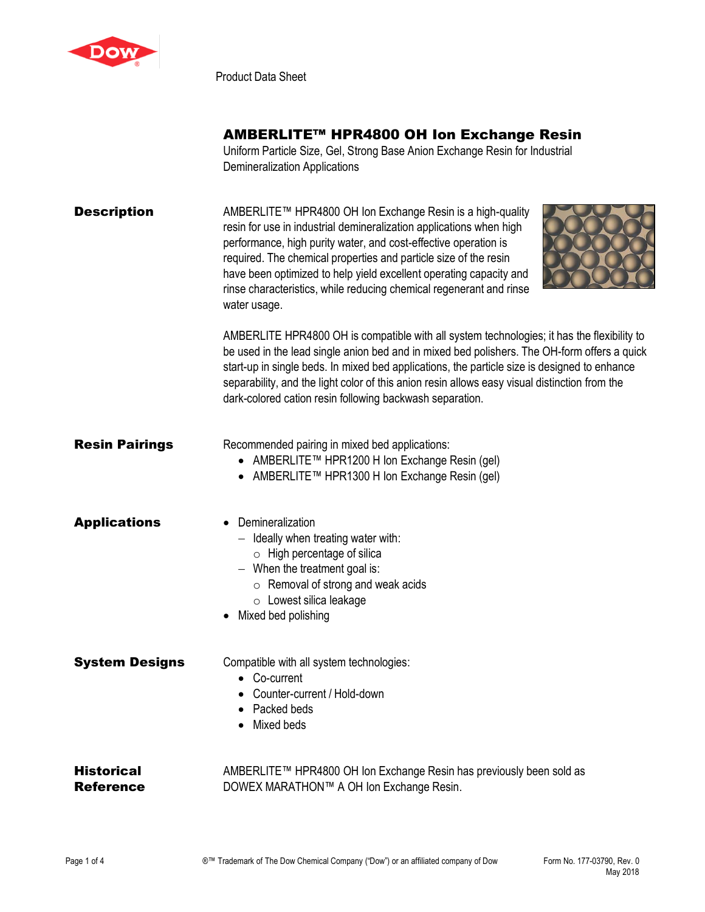

Product Data Sheet

# AMBERLITE™ HPR4800 OH Ion Exchange Resin

Uniform Particle Size, Gel, Strong Base Anion Exchange Resin for Industrial Demineralization Applications

| <b>Description</b>    | AMBERLITE™ HPR4800 OH Ion Exchange Resin is a high-quality<br>resin for use in industrial demineralization applications when high<br>performance, high purity water, and cost-effective operation is<br>required. The chemical properties and particle size of the resin<br>have been optimized to help yield excellent operating capacity and<br>rinse characteristics, while reducing chemical regenerant and rinse<br>water usage.                  |
|-----------------------|--------------------------------------------------------------------------------------------------------------------------------------------------------------------------------------------------------------------------------------------------------------------------------------------------------------------------------------------------------------------------------------------------------------------------------------------------------|
|                       | AMBERLITE HPR4800 OH is compatible with all system technologies; it has the flexibility to<br>be used in the lead single anion bed and in mixed bed polishers. The OH-form offers a quick<br>start-up in single beds. In mixed bed applications, the particle size is designed to enhance<br>separability, and the light color of this anion resin allows easy visual distinction from the<br>dark-colored cation resin following backwash separation. |
| <b>Resin Pairings</b> | Recommended pairing in mixed bed applications:<br>AMBERLITE™ HPR1200 H Ion Exchange Resin (gel)<br>AMBERLITE™ HPR1300 H Ion Exchange Resin (gel)                                                                                                                                                                                                                                                                                                       |
| <b>Applications</b>   | Demineralization<br>Ideally when treating water with:<br>$\circ$ High percentage of silica<br>$-$ When the treatment goal is:<br>$\circ$ Removal of strong and weak acids<br>o Lowest silica leakage<br>Mixed bed polishing                                                                                                                                                                                                                            |
| <b>System Designs</b> | Compatible with all system technologies:<br>Co-current                                                                                                                                                                                                                                                                                                                                                                                                 |

- Counter-current / Hold-down
- Packed beds
- Mixed beds

| <b>Historical</b> | AMBERLITE™ HPR4800 OH Ion Exchange Resin has previously been sold as |
|-------------------|----------------------------------------------------------------------|
| <b>Reference</b>  | DOWEX MARATHON™ A OH Ion Exchange Resin.                             |

XXXX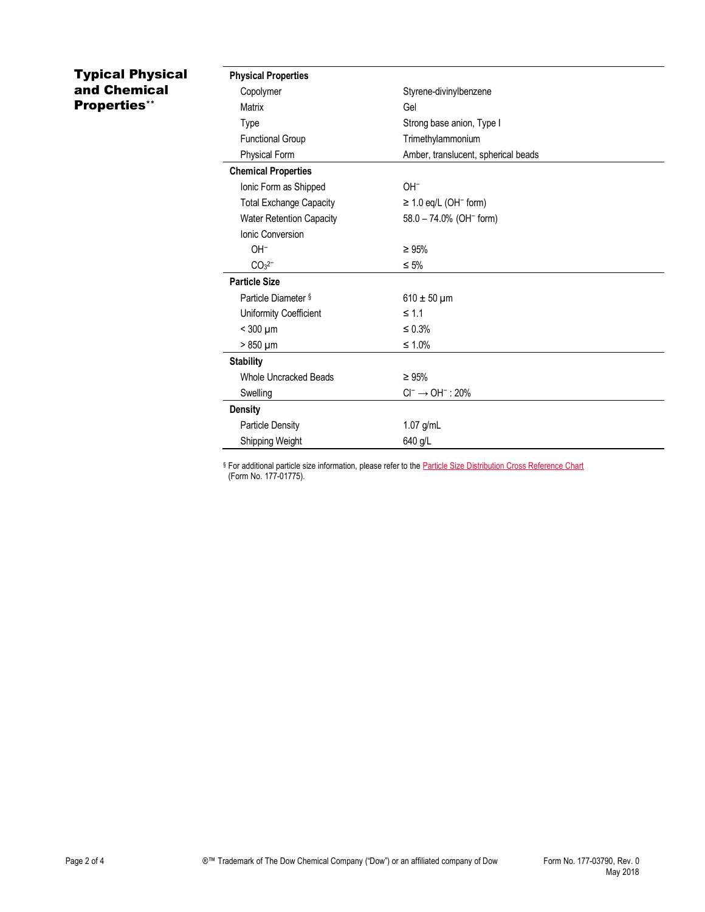## Typical Physical and Chemical Properties\*\*

| <b>Physical Properties</b>      |                                        |
|---------------------------------|----------------------------------------|
| Copolymer                       | Styrene-divinylbenzene                 |
| Matrix                          | Gel                                    |
| Type                            | Strong base anion, Type I              |
| <b>Functional Group</b>         | Trimethylammonium                      |
| Physical Form                   | Amber, translucent, spherical beads    |
| <b>Chemical Properties</b>      |                                        |
| Ionic Form as Shipped           | $OH^-$                                 |
| <b>Total Exchange Capacity</b>  | $\geq$ 1.0 eq/L (OH <sup>-</sup> form) |
| <b>Water Retention Capacity</b> | $58.0 - 74.0\%$ (OH <sup>-</sup> form) |
| Ionic Conversion                |                                        |
| $OH^-$                          | $\geq 95\%$                            |
| $CO32^-$                        | $\leq 5\%$                             |
| <b>Particle Size</b>            |                                        |
| Particle Diameter §             | $610 \pm 50 \mu m$                     |
| Uniformity Coefficient          | $\leq 1.1$                             |
| $<$ 300 $\mu$ m                 | $\leq 0.3\%$                           |
| $> 850 \mu m$                   | $\leq 1.0\%$                           |
| <b>Stability</b>                |                                        |
| <b>Whole Uncracked Beads</b>    | $\geq 95\%$                            |
| Swelling                        | $Cl^- \rightarrow OH^-$ : 20%          |
| <b>Density</b>                  |                                        |
| <b>Particle Density</b>         | $1.07$ g/mL                            |
| Shipping Weight                 | 640 g/L                                |

§ For additional particle size information, please refer to the **Particle Size Distribution Cross Reference Chart** (Form No. 177-01775).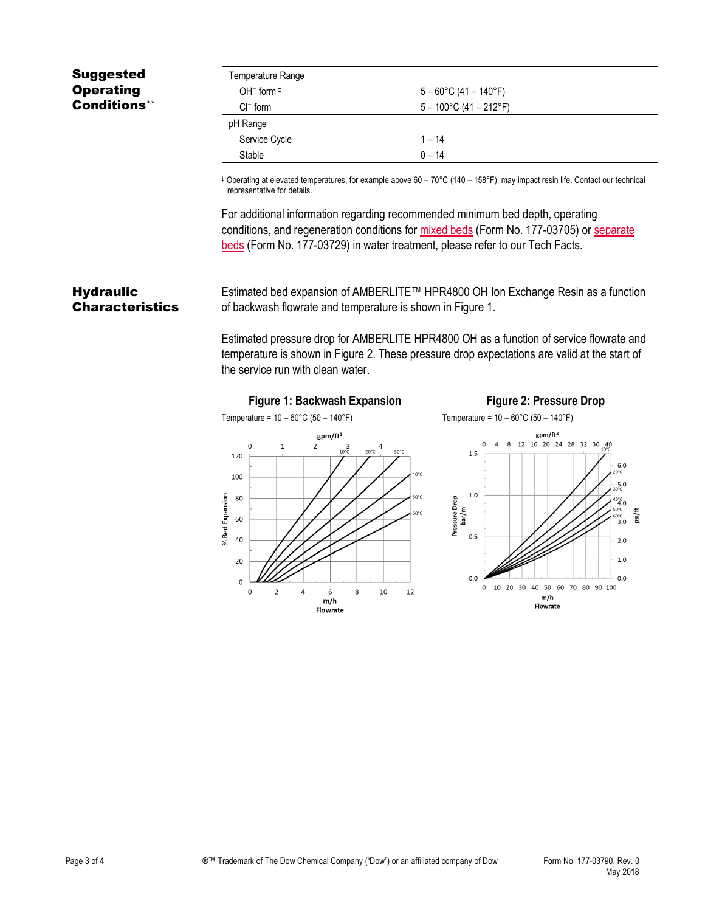## Suggested **Operating** Conditions\*\*

| Temperature Range |                                  |
|-------------------|----------------------------------|
| OH $-$ form $\pm$ | $5 - 60^{\circ}$ C (41 – 140°F)  |
| $Cl^-$ form       | $5 - 100^{\circ}$ C (41 – 212°F) |
| pH Range          |                                  |
| Service Cycle     | $1 - 14$                         |
| Stable            | $0 - 14$                         |

‡ Operating at elevated temperatures, for example above 60 – 70°C (140 – 158°F), may impact resin life. Contact our technical representative for details.

For additional information regarding recommended minimum bed depth, operating conditions, and regeneration conditions for [mixed beds](http://www.dow.com/webapps/include/GetDoc.aspx?filepath=liquidseps/pdfs/noreg/177-03705.pdf) (Form No. 177-03705) or [separate](http://www.dow.com/webapps/include/GetDoc.aspx?filepath=liquidseps/pdfs/noreg/177-03729.pdf)  [beds](http://www.dow.com/webapps/include/GetDoc.aspx?filepath=liquidseps/pdfs/noreg/177-03729.pdf) (Form No. 177-03729) in water treatment, please refer to our Tech Facts.

#### **Hydraulic Characteristics**

Estimated bed expansion of AMBERLITE™ HPR4800 OH Ion Exchange Resin as a function of backwash flowrate and temperature is shown in Figure 1.

Estimated pressure drop for AMBERLITE HPR4800 OH as a function of service flowrate and temperature is shown in Figure 2. These pressure drop expectations are valid at the start of the service run with clean water.